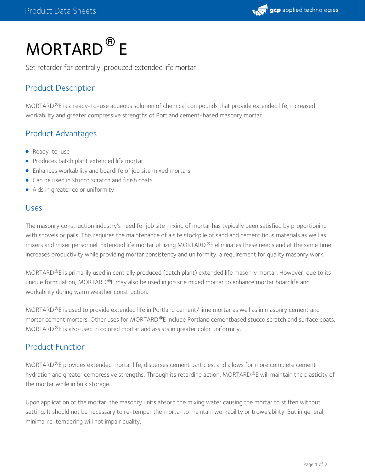

# MORTARD<sup>®</sup> E

Set retarder for centrally-produced extended life mortar

## Product Description

MORTARD ®E is a ready-to-use aqueous solution of chemical compounds that provide extended life, increased workability and greater compressive strengths of Portland cement-based masonry mortar.

## Product Advantages

- Ready-to-use
- Produces batch plant extended life mortar
- Enhances workability and boardlife of job site mixed mortars
- Can be used in stucco scratch and finish coats
- Aids in greater color uniformity

#### Uses

The masonry construction industry's need for job site mixing of mortar has typically been satisfied by proportioning with shovels or pails. This requires the maintenance of a site stockpile of sand and cementitious materials as well as mixers and mixer personnel. Extended life mortar utilizing MORTARD ®E eliminates these needs and at the same time increases productivity while providing mortar consistency and uniformity; a requirement for quality masonry work.

MORTARD ®E is primarily used in centrally produced (batch plant) extended life masonry mortar. However, due to its unique formulation, MORTARD®E may also be used in job site mixed mortar to enhance mortar boardlife and workability during warm weather construction.

MORTARD ®E is used to provide extended life in Portland cement/ lime mortar as well as in masonry cement and mortar cement mortars. Other uses for MORTARD ®E include Portland cementbased stucco scratch and surface coats. MORTARD $\mathcal{P}$ E is also used in colored mortar and assists in greater color uniformity.

#### Product Function

MORTARD<sup>®</sup>E provides extended mortar life, disperses cement particles, and allows for more complete cement hydration and greater compressive strengths. Through its retarding action, MORTARD ®E will maintain the plasticity of the mortar while in bulk storage.

Upon application of the mortar, the masonry units absorb the mixing water causing the mortar to stiffen without setting. It should not be necessary to re-temper the mortar to maintain workability or trowelability. But in general, minimal re-tempering will not impair quality.